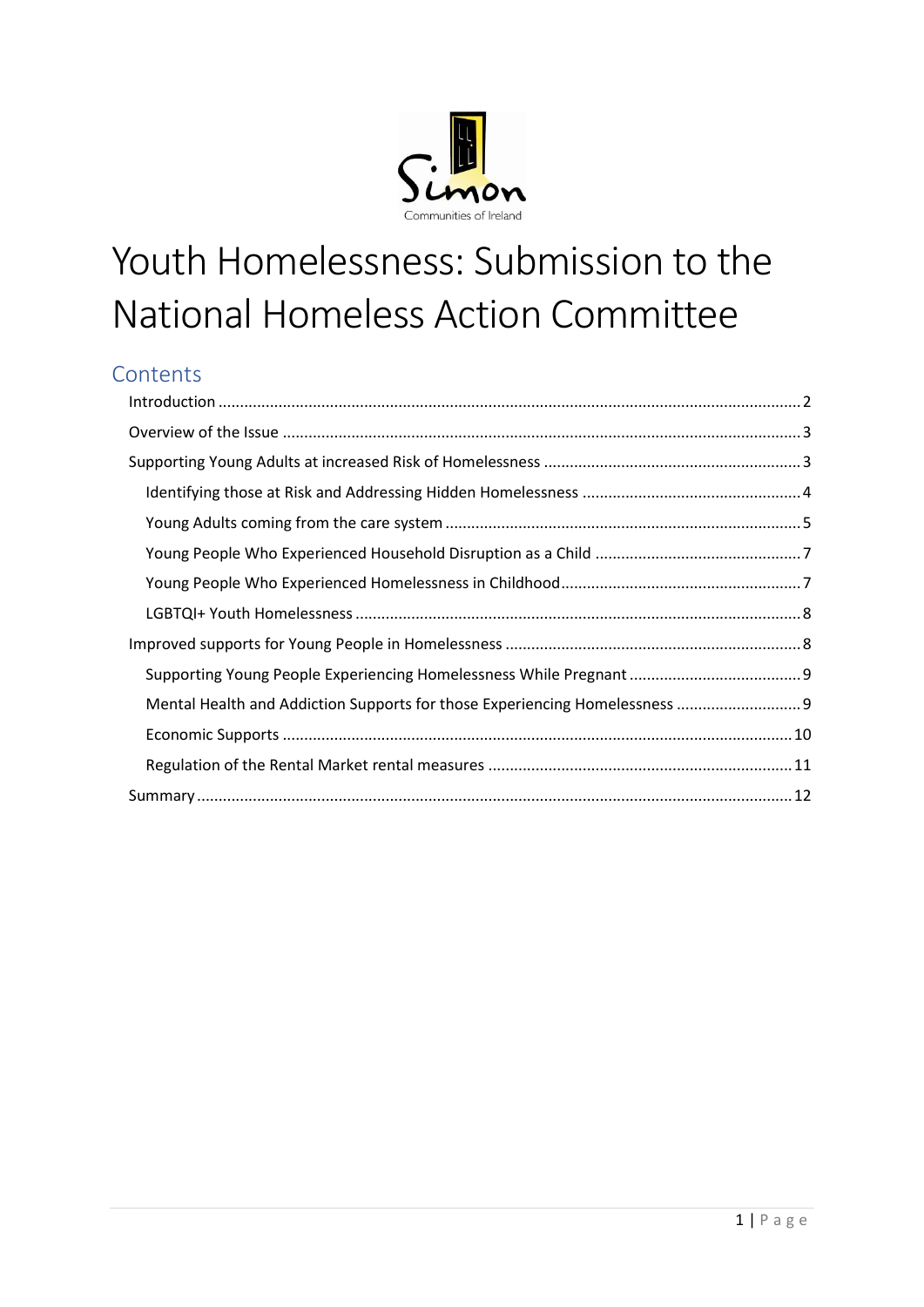

# Youth Homelessness: Submission to the National Homeless Action Committee

# **Contents**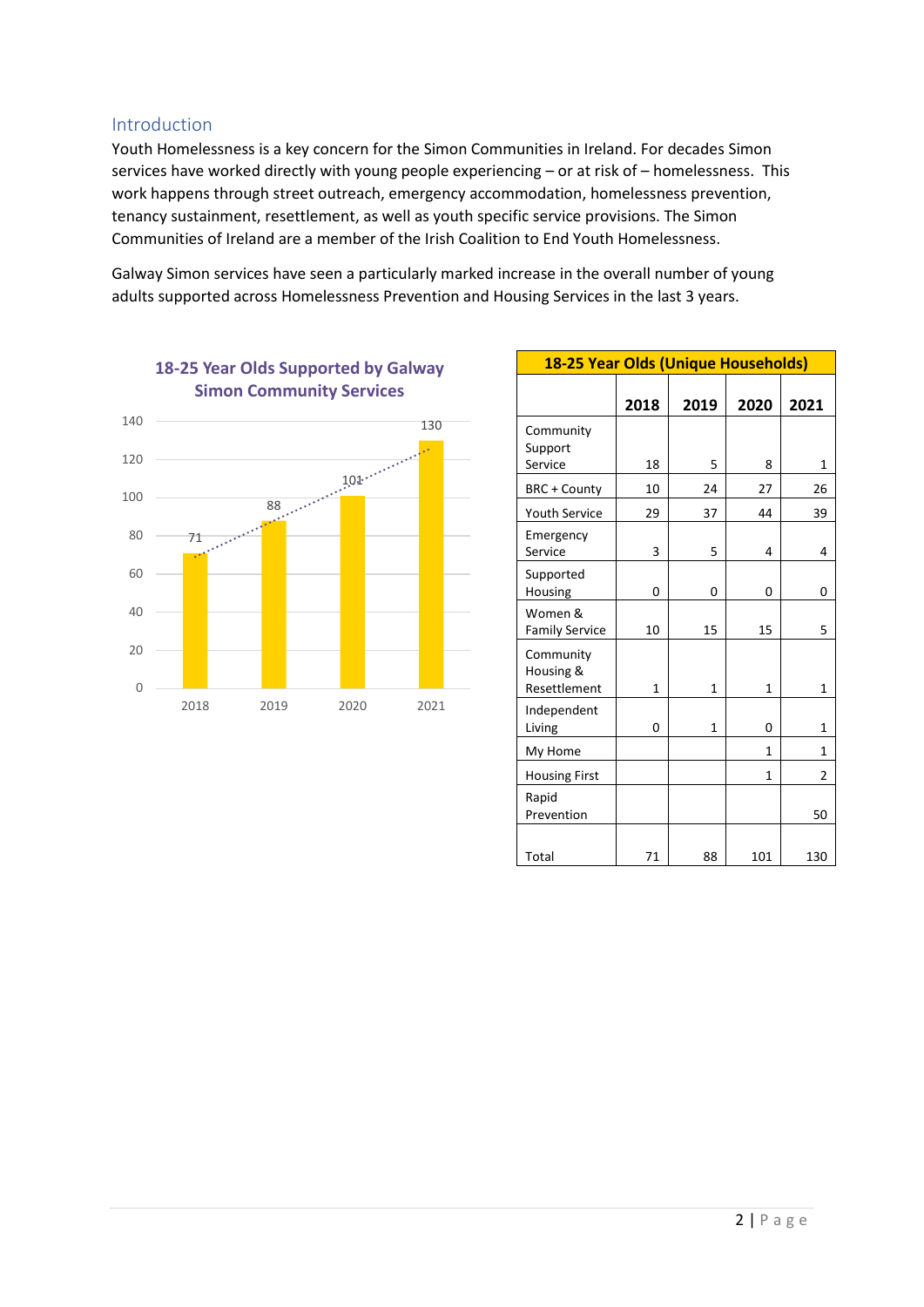#### <span id="page-1-0"></span>Introduction

Youth Homelessness is a key concern for the Simon Communities in Ireland. For decades Simon services have worked directly with young people experiencing – or at risk of – homelessness. This work happens through street outreach, emergency accommodation, homelessness prevention, tenancy sustainment, resettlement, as well as youth specific service provisions. The Simon Communities of Ireland are a member of the Irish Coalition to End Youth Homelessness.

Galway Simon services have seen a particularly marked increase in the overall number of young adults supported across Homelessness Prevention and Housing Services in the last 3 years.



| 18-25 Year Olds (Unique Households)    |      |              |      |      |  |  |  |  |
|----------------------------------------|------|--------------|------|------|--|--|--|--|
|                                        | 2018 | 2019         | 2020 | 2021 |  |  |  |  |
| Community<br>Support<br>Service        | 18   | 5            | 8    | 1    |  |  |  |  |
| BRC + County                           | 10   | 24           | 27   | 26   |  |  |  |  |
| <b>Youth Service</b>                   | 29   | 37           | 44   | 39   |  |  |  |  |
| Emergency<br>Service                   | 3    | 5            | 4    | 4    |  |  |  |  |
| Supported<br>Housing                   | 0    | 0            | 0    | 0    |  |  |  |  |
| Women &<br><b>Family Service</b>       | 10   | 15           | 15   | 5    |  |  |  |  |
| Community<br>Housing &<br>Resettlement | 1    | $\mathbf{1}$ | 1    | 1    |  |  |  |  |
| Independent<br>Living                  | 0    | $\mathbf{1}$ | 0    | 1    |  |  |  |  |
| My Home                                |      |              | 1    | 1    |  |  |  |  |
| <b>Housing First</b>                   |      |              | 1    | 2    |  |  |  |  |
| Rapid<br>Prevention                    |      |              |      | 50   |  |  |  |  |
| Total                                  | 71   | 88           | 101  | 130  |  |  |  |  |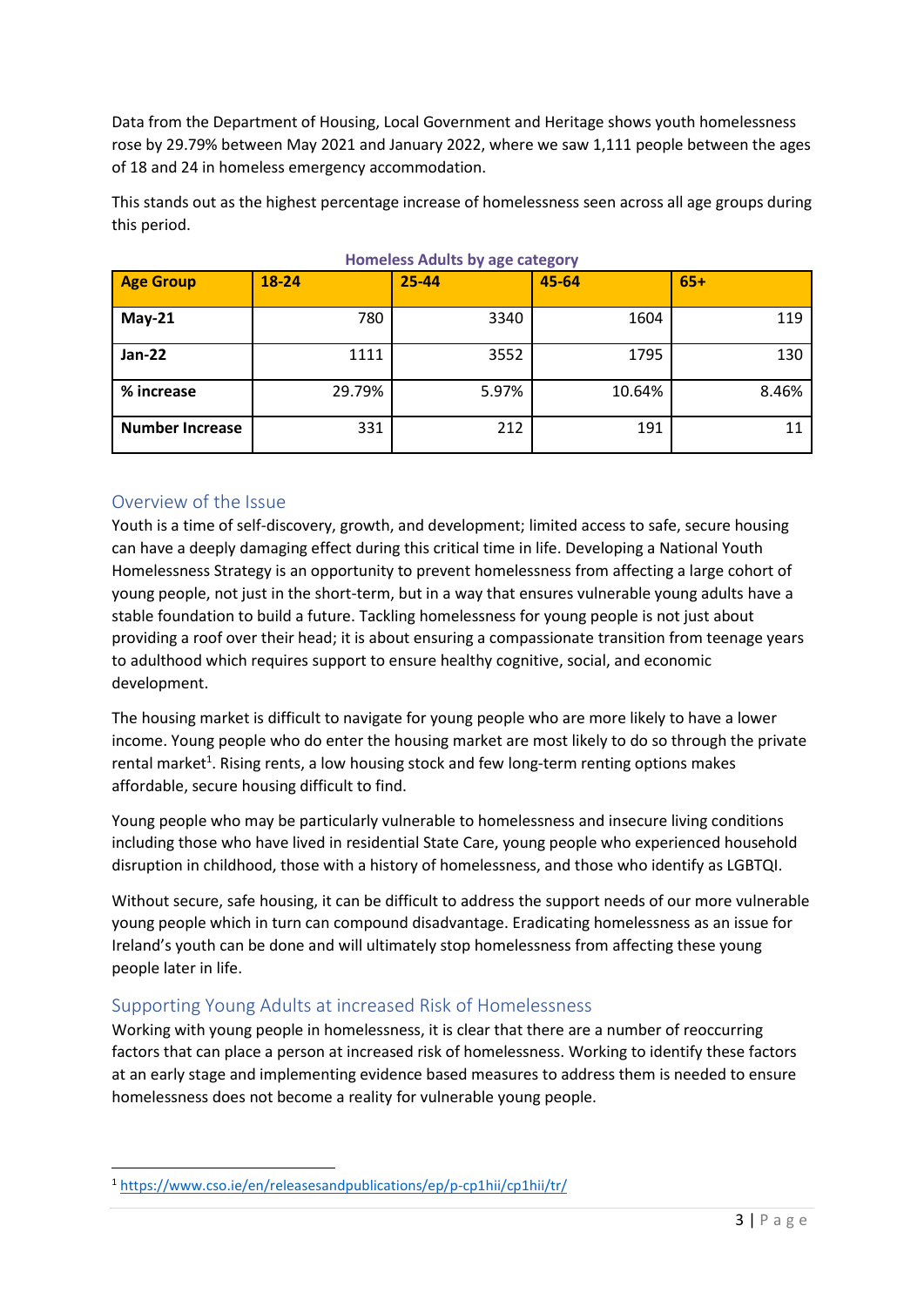Data from the Department of Housing, Local Government and Heritage shows youth homelessness rose by 29.79% between May 2021 and January 2022, where we saw 1,111 people between the ages of 18 and 24 in homeless emergency accommodation.

This stands out as the highest percentage increase of homelessness seen across all age groups during this period.

| $\frac{1}{2}$          |        |       |        |       |  |  |  |  |
|------------------------|--------|-------|--------|-------|--|--|--|--|
| <b>Age Group</b>       | 18-24  | 25-44 | 45-64  | $65+$ |  |  |  |  |
| $May-21$               | 780    | 3340  | 1604   | 119   |  |  |  |  |
| <b>Jan-22</b>          | 1111   | 3552  | 1795   | 130   |  |  |  |  |
| % increase             | 29.79% | 5.97% | 10.64% | 8.46% |  |  |  |  |
| <b>Number Increase</b> | 331    | 212   | 191    | 11    |  |  |  |  |

**Homeless Adults by age category**

# <span id="page-2-0"></span>Overview of the Issue

**.** 

Youth is a time of self-discovery, growth, and development; limited access to safe, secure housing can have a deeply damaging effect during this critical time in life. Developing a National Youth Homelessness Strategy is an opportunity to prevent homelessness from affecting a large cohort of young people, not just in the short-term, but in a way that ensures vulnerable young adults have a stable foundation to build a future. Tackling homelessness for young people is not just about providing a roof over their head; it is about ensuring a compassionate transition from teenage years to adulthood which requires support to ensure healthy cognitive, social, and economic development.

The housing market is difficult to navigate for young people who are more likely to have a lower income. Young people who do enter the housing market are most likely to do so through the private rental market<sup>1</sup>. Rising rents, a low housing stock and few long-term renting options makes affordable, secure housing difficult to find.

Young people who may be particularly vulnerable to homelessness and insecure living conditions including those who have lived in residential State Care, young people who experienced household disruption in childhood, those with a history of homelessness, and those who identify as LGBTQI.

Without secure, safe housing, it can be difficult to address the support needs of our more vulnerable young people which in turn can compound disadvantage. Eradicating homelessness as an issue for Ireland's youth can be done and will ultimately stop homelessness from affecting these young people later in life.

# <span id="page-2-1"></span>Supporting Young Adults at increased Risk of Homelessness

Working with young people in homelessness, it is clear that there are a number of reoccurring factors that can place a person at increased risk of homelessness. Working to identify these factors at an early stage and implementing evidence based measures to address them is needed to ensure homelessness does not become a reality for vulnerable young people.

<sup>1</sup> <https://www.cso.ie/en/releasesandpublications/ep/p-cp1hii/cp1hii/tr/>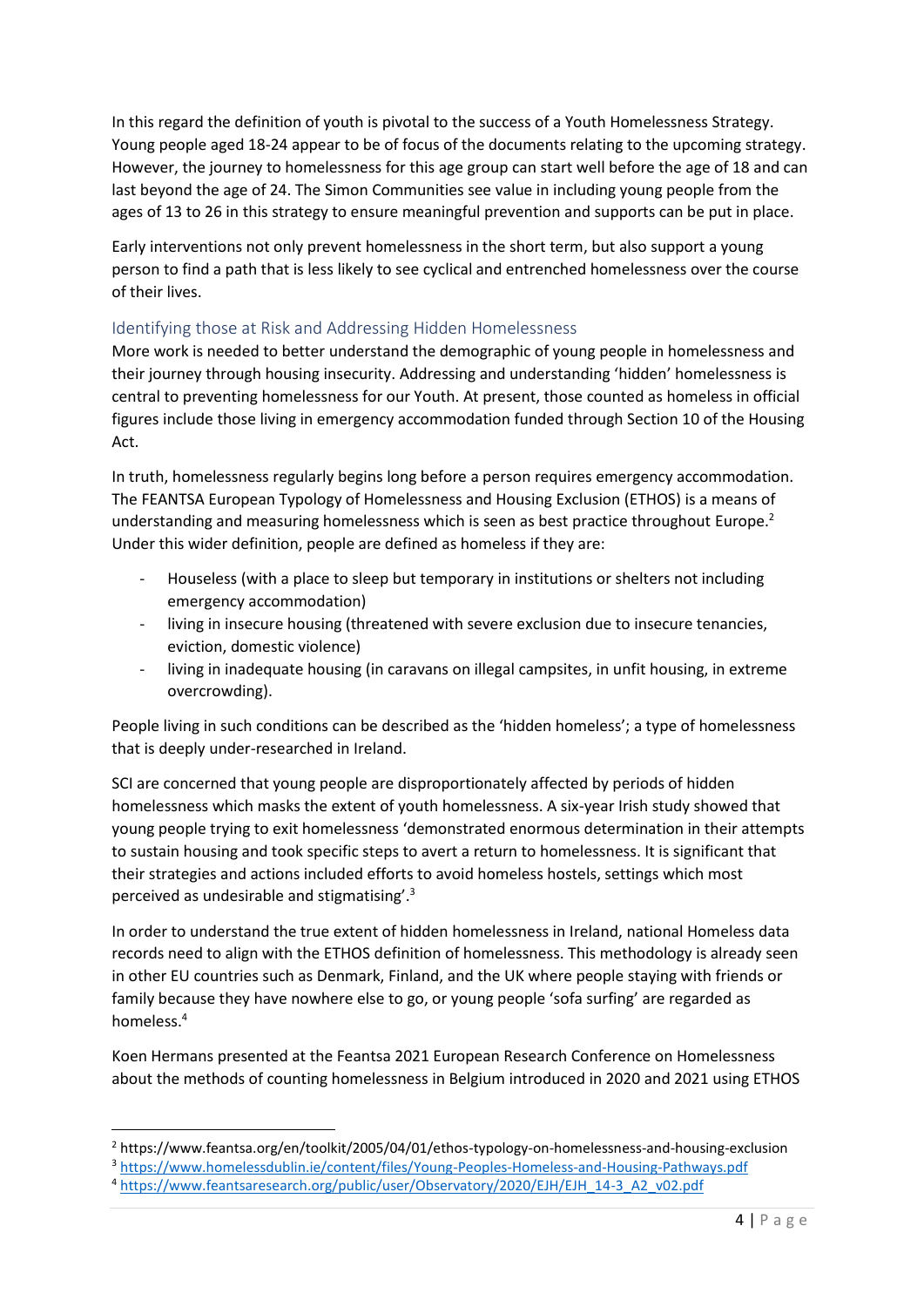In this regard the definition of youth is pivotal to the success of a Youth Homelessness Strategy. Young people aged 18-24 appear to be of focus of the documents relating to the upcoming strategy. However, the journey to homelessness for this age group can start well before the age of 18 and can last beyond the age of 24. The Simon Communities see value in including young people from the ages of 13 to 26 in this strategy to ensure meaningful prevention and supports can be put in place.

Early interventions not only prevent homelessness in the short term, but also support a young person to find a path that is less likely to see cyclical and entrenched homelessness over the course of their lives.

#### <span id="page-3-0"></span>Identifying those at Risk and Addressing Hidden Homelessness

More work is needed to better understand the demographic of young people in homelessness and their journey through housing insecurity. Addressing and understanding 'hidden' homelessness is central to preventing homelessness for our Youth. At present, those counted as homeless in official figures include those living in emergency accommodation funded through Section 10 of the Housing Act.

In truth, homelessness regularly begins long before a person requires emergency accommodation. The FEANTSA European Typology of Homelessness and Housing Exclusion (ETHOS) is a means of understanding and measuring homelessness which is seen as best practice throughout Europe. 2 Under this wider definition, people are defined as homeless if they are:

- Houseless (with a place to sleep but temporary in institutions or shelters not including emergency accommodation)
- living in insecure housing (threatened with severe exclusion due to insecure tenancies, eviction, domestic violence)
- living in inadequate housing (in caravans on illegal campsites, in unfit housing, in extreme overcrowding).

People living in such conditions can be described as the 'hidden homeless'; a type of homelessness that is deeply under-researched in Ireland.

SCI are concerned that young people are disproportionately affected by periods of hidden homelessness which masks the extent of youth homelessness. A six-year Irish study showed that young people trying to exit homelessness 'demonstrated enormous determination in their attempts to sustain housing and took specific steps to avert a return to homelessness. It is significant that their strategies and actions included efforts to avoid homeless hostels, settings which most perceived as undesirable and stigmatising'.<sup>3</sup>

In order to understand the true extent of hidden homelessness in Ireland, national Homeless data records need to align with the ETHOS definition of homelessness. This methodology is already seen in other EU countries such as Denmark, Finland, and the UK where people staying with friends or family because they have nowhere else to go, or young people 'sofa surfing' are regarded as homeless.<sup>4</sup>

Koen Hermans presented at the Feantsa 2021 European Research Conference on Homelessness about the methods of counting homelessness in Belgium introduced in 2020 and 2021 using ETHOS

**.** 

<sup>2</sup> https://www.feantsa.org/en/toolkit/2005/04/01/ethos-typology-on-homelessness-and-housing-exclusion

<sup>3</sup> <https://www.homelessdublin.ie/content/files/Young-Peoples-Homeless-and-Housing-Pathways.pdf>

<sup>4</sup> [https://www.feantsaresearch.org/public/user/Observatory/2020/EJH/EJH\\_14-3\\_A2\\_v02.pdf](https://www.feantsaresearch.org/public/user/Observatory/2020/EJH/EJH_14-3_A2_v02.pdf)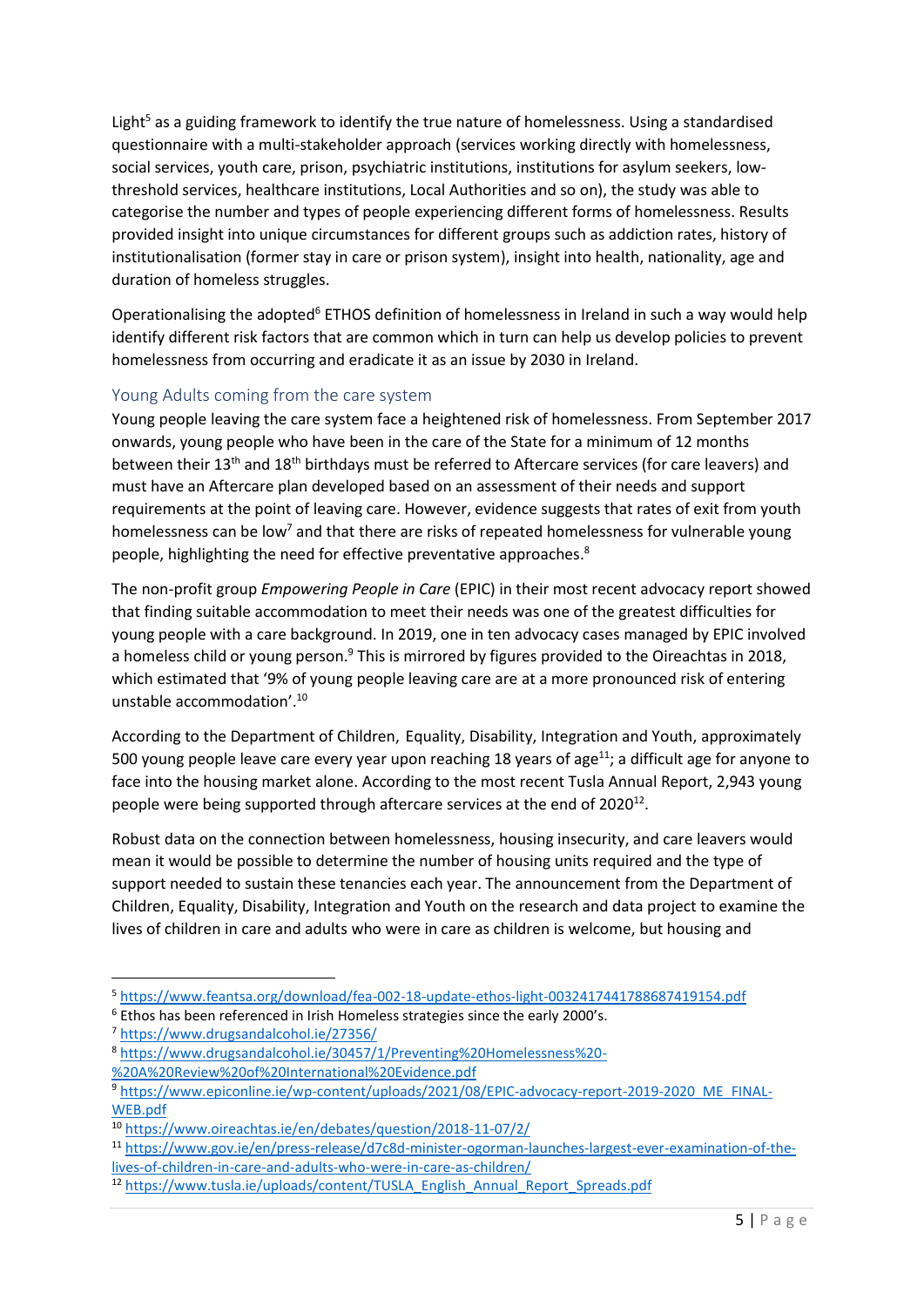Light<sup>5</sup> as a guiding framework to identify the true nature of homelessness. Using a standardised questionnaire with a multi-stakeholder approach (services working directly with homelessness, social services, youth care, prison, psychiatric institutions, institutions for asylum seekers, lowthreshold services, healthcare institutions, Local Authorities and so on), the study was able to categorise the number and types of people experiencing different forms of homelessness. Results provided insight into unique circumstances for different groups such as addiction rates, history of institutionalisation (former stay in care or prison system), insight into health, nationality, age and duration of homeless struggles.

Operationalising the adopted<sup>6</sup> ETHOS definition of homelessness in Ireland in such a way would help identify different risk factors that are common which in turn can help us develop policies to prevent homelessness from occurring and eradicate it as an issue by 2030 in Ireland.

# <span id="page-4-0"></span>Young Adults coming from the care system

Young people leaving the care system face a heightened risk of homelessness. From September 2017 onwards, young people who have been in the care of the State for a minimum of 12 months between their 13<sup>th</sup> and 18<sup>th</sup> birthdays must be referred to Aftercare services (for care leavers) and must have an Aftercare plan developed based on an assessment of their needs and support requirements at the point of leaving care. However, evidence suggests that rates of exit from youth homelessness can be low<sup>7</sup> and that there are risks of repeated homelessness for vulnerable young people, highlighting the need for effective preventative approaches.<sup>8</sup>

The non-profit group *Empowering People in Care* (EPIC) in their most recent advocacy report showed that finding suitable accommodation to meet their needs was one of the greatest difficulties for young people with a care background. In 2019, one in ten advocacy cases managed by EPIC involved a homeless child or young person.<sup>9</sup> This is mirrored by figures provided to the Oireachtas in 2018, which estimated that '9% of young people leaving care are at a more pronounced risk of entering unstable accommodation'.<sup>10</sup>

According to the Department of Children, Equality, Disability, Integration and Youth, approximately 500 young people leave care every year upon reaching 18 years of age<sup>11</sup>; a difficult age for anyone to face into the housing market alone. According to the most recent Tusla Annual Report, 2,943 young people were being supported through aftercare services at the end of 2020<sup>12</sup>.

Robust data on the connection between homelessness, housing insecurity, and care leavers would mean it would be possible to determine the number of housing units required and the type of support needed to sustain these tenancies each year. The announcement from the Department of Children, Equality, Disability, Integration and Youth on the research and data project to examine the lives of children in care and adults who were in care as children is welcome, but housing and

<sup>6</sup> Ethos has been referenced in Irish Homeless strategies since the early 2000's.

1

<sup>8</sup> [https://www.drugsandalcohol.ie/30457/1/Preventing%20Homelessness%20-](https://www.drugsandalcohol.ie/30457/1/Preventing%20Homelessness%20-%20A%20Review%20of%20International%20Evidence.pdf) [%20A%20Review%20of%20International%20Evidence.pdf](https://www.drugsandalcohol.ie/30457/1/Preventing%20Homelessness%20-%20A%20Review%20of%20International%20Evidence.pdf)

<sup>5</sup> <https://www.feantsa.org/download/fea-002-18-update-ethos-light-0032417441788687419154.pdf>

<sup>7</sup> <https://www.drugsandalcohol.ie/27356/>

<sup>9</sup> [https://www.epiconline.ie/wp-content/uploads/2021/08/EPIC-advocacy-report-2019-2020\\_ME\\_FINAL-](https://www.epiconline.ie/wp-content/uploads/2021/08/EPIC-advocacy-report-2019-2020_ME_FINAL-WEB.pdf)[WEB.pdf](https://www.epiconline.ie/wp-content/uploads/2021/08/EPIC-advocacy-report-2019-2020_ME_FINAL-WEB.pdf)

<sup>10</sup> <https://www.oireachtas.ie/en/debates/question/2018-11-07/2/>

<sup>11</sup> [https://www.gov.ie/en/press-release/d7c8d-minister-ogorman-launches-largest-ever-examination-of-the](https://www.gov.ie/en/press-release/d7c8d-minister-ogorman-launches-largest-ever-examination-of-the-lives-of-children-in-care-and-adults-who-were-in-care-as-children/)[lives-of-children-in-care-and-adults-who-were-in-care-as-children/](https://www.gov.ie/en/press-release/d7c8d-minister-ogorman-launches-largest-ever-examination-of-the-lives-of-children-in-care-and-adults-who-were-in-care-as-children/)

<sup>12</sup> [https://www.tusla.ie/uploads/content/TUSLA\\_English\\_Annual\\_Report\\_Spreads.pdf](https://www.tusla.ie/uploads/content/TUSLA_English_Annual_Report_Spreads.pdf)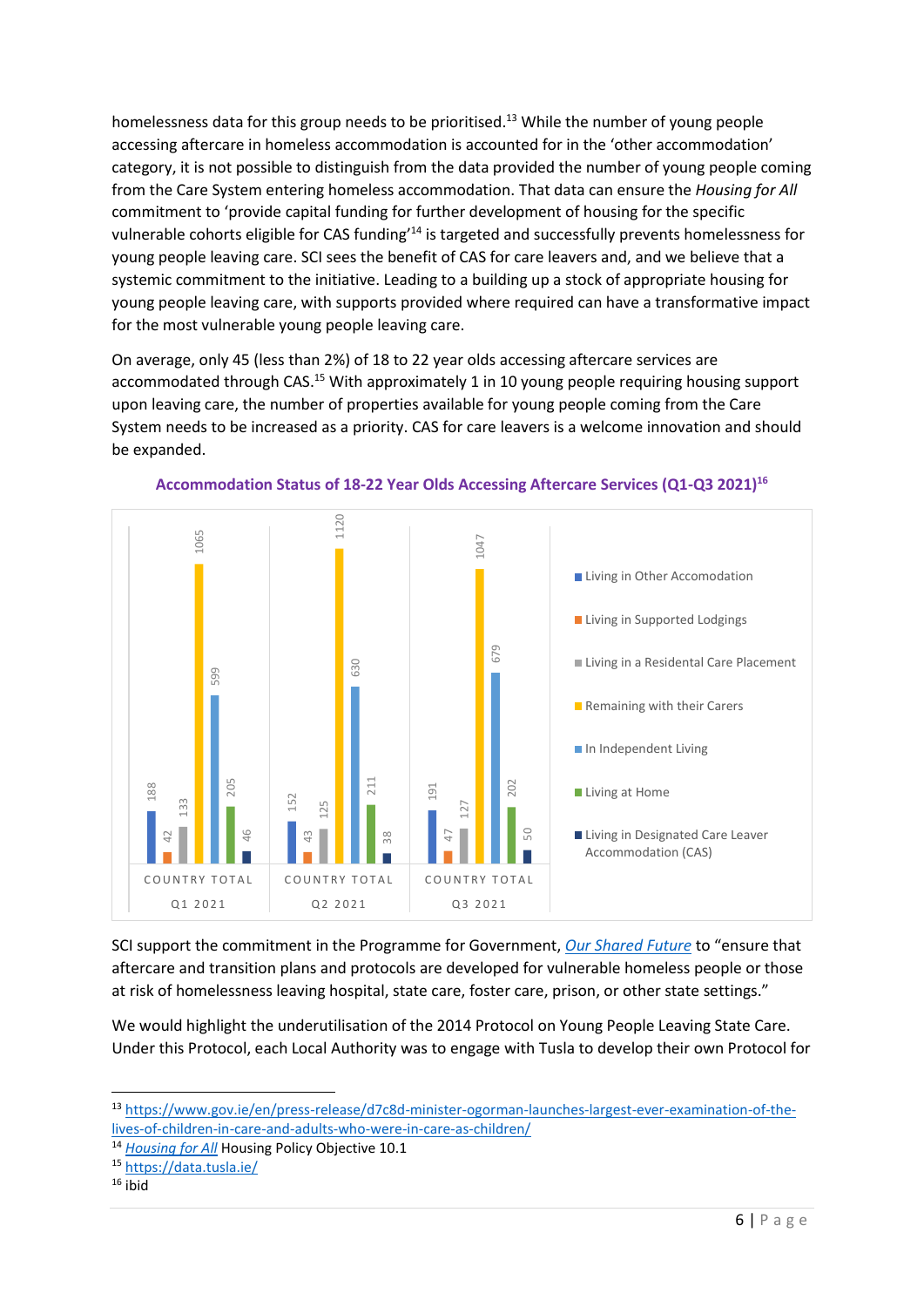homelessness data for this group needs to be prioritised. <sup>13</sup> While the number of young people accessing aftercare in homeless accommodation is accounted for in the 'other accommodation' category, it is not possible to distinguish from the data provided the number of young people coming from the Care System entering homeless accommodation. That data can ensure the *Housing for All*  commitment to 'provide capital funding for further development of housing for the specific vulnerable cohorts eligible for CAS funding<sup>14</sup> is targeted and successfully prevents homelessness for young people leaving care. SCI sees the benefit of CAS for care leavers and, and we believe that a systemic commitment to the initiative. Leading to a building up a stock of appropriate housing for young people leaving care, with supports provided where required can have a transformative impact for the most vulnerable young people leaving care.

On average, only 45 (less than 2%) of 18 to 22 year olds accessing aftercare services are accommodated through CAS.<sup>15</sup> With approximately 1 in 10 young people requiring housing support upon leaving care, the number of properties available for young people coming from the Care System needs to be increased as a priority. CAS for care leavers is a welcome innovation and should be expanded.



**Accommodation Status of 18-22 Year Olds Accessing Aftercare Services (Q1-Q3 2021)<sup>16</sup>**

SCI support the commitment in the Programme for Government, *[Our Shared Future](https://www.gov.ie/en/publication/7e05d-programme-for-government-our-shared-future/)* to "ensure that aftercare and transition plans and protocols are developed for vulnerable homeless people or those at risk of homelessness leaving hospital, state care, foster care, prison, or other state settings."

We would highlight the underutilisation of the 2014 Protocol on Young People Leaving State Care. Under this Protocol, each Local Authority was to engage with Tusla to develop their own Protocol for

 $\overline{\phantom{a}}$ 

<sup>13</sup> [https://www.gov.ie/en/press-release/d7c8d-minister-ogorman-launches-largest-ever-examination-of-the](https://www.gov.ie/en/press-release/d7c8d-minister-ogorman-launches-largest-ever-examination-of-the-lives-of-children-in-care-and-adults-who-were-in-care-as-children/)[lives-of-children-in-care-and-adults-who-were-in-care-as-children/](https://www.gov.ie/en/press-release/d7c8d-minister-ogorman-launches-largest-ever-examination-of-the-lives-of-children-in-care-and-adults-who-were-in-care-as-children/)

<sup>14</sup> *[Housing for All](https://www.gov.ie/en/publication/ef5ec-housing-for-all-a-new-housing-plan-for-ireland/)* Housing Policy Objective 10.1

<sup>15</sup> <https://data.tusla.ie/>

 $16$  ibid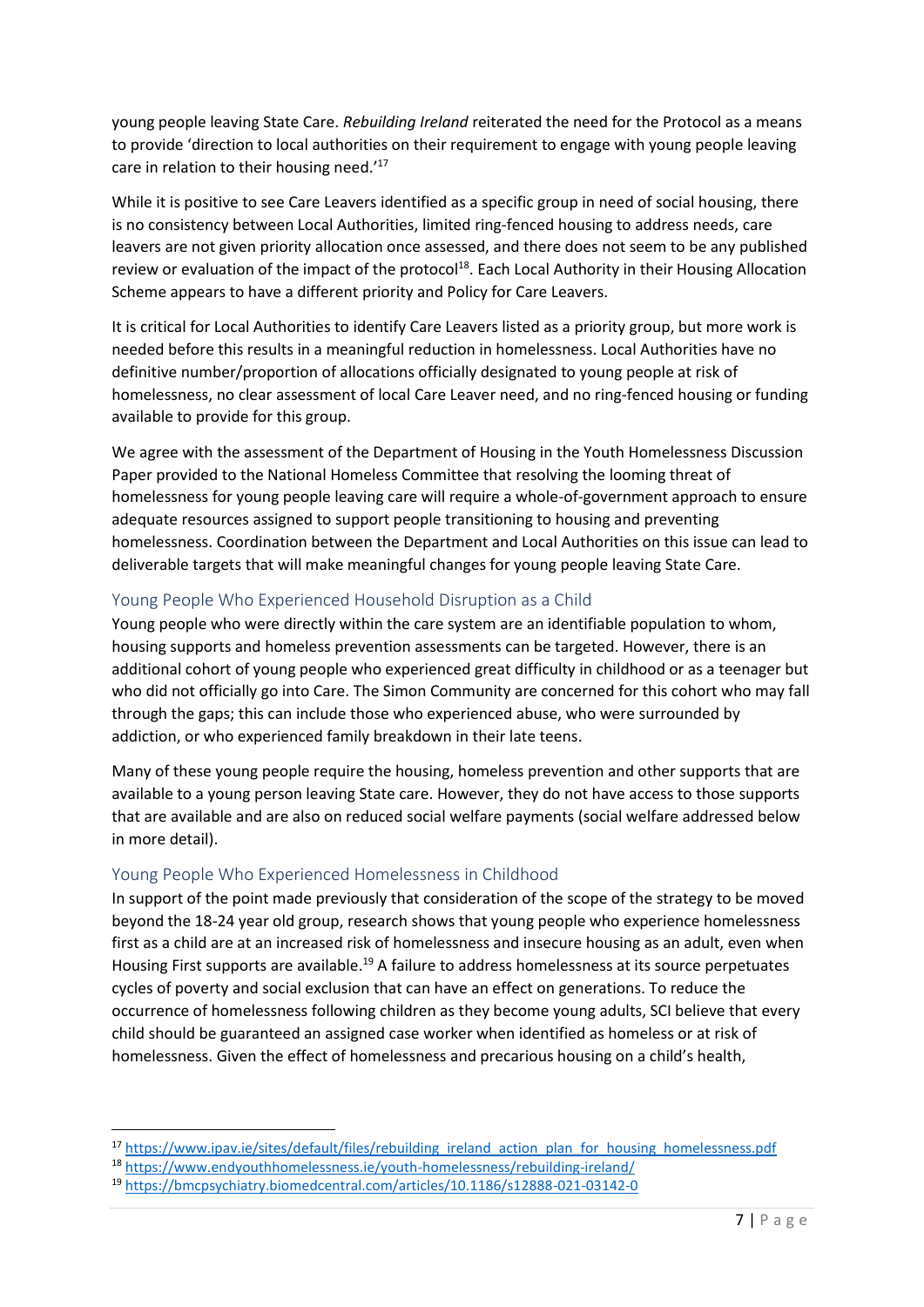young people leaving State Care. *Rebuilding Ireland* reiterated the need for the Protocol as a means to provide 'direction to local authorities on their requirement to engage with young people leaving care in relation to their housing need.'<sup>17</sup>

While it is positive to see Care Leavers identified as a specific group in need of social housing, there is no consistency between Local Authorities, limited ring-fenced housing to address needs, care leavers are not given priority allocation once assessed, and there does not seem to be any published review or evaluation of the impact of the protocol<sup>18</sup>. Each Local Authority in their Housing Allocation Scheme appears to have a different priority and Policy for Care Leavers.

It is critical for Local Authorities to identify Care Leavers listed as a priority group, but more work is needed before this results in a meaningful reduction in homelessness. Local Authorities have no definitive number/proportion of allocations officially designated to young people at risk of homelessness, no clear assessment of local Care Leaver need, and no ring-fenced housing or funding available to provide for this group.

We agree with the assessment of the Department of Housing in the Youth Homelessness Discussion Paper provided to the National Homeless Committee that resolving the looming threat of homelessness for young people leaving care will require a whole-of-government approach to ensure adequate resources assigned to support people transitioning to housing and preventing homelessness. Coordination between the Department and Local Authorities on this issue can lead to deliverable targets that will make meaningful changes for young people leaving State Care.

#### <span id="page-6-0"></span>Young People Who Experienced Household Disruption as a Child

Young people who were directly within the care system are an identifiable population to whom, housing supports and homeless prevention assessments can be targeted. However, there is an additional cohort of young people who experienced great difficulty in childhood or as a teenager but who did not officially go into Care. The Simon Community are concerned for this cohort who may fall through the gaps; this can include those who experienced abuse, who were surrounded by addiction, or who experienced family breakdown in their late teens.

Many of these young people require the housing, homeless prevention and other supports that are available to a young person leaving State care. However, they do not have access to those supports that are available and are also on reduced social welfare payments (social welfare addressed below in more detail).

# <span id="page-6-1"></span>Young People Who Experienced Homelessness in Childhood

**.** 

In support of the point made previously that consideration of the scope of the strategy to be moved beyond the 18-24 year old group, research shows that young people who experience homelessness first as a child are at an increased risk of homelessness and insecure housing as an adult, even when Housing First supports are available.<sup>19</sup> A failure to address homelessness at its source perpetuates cycles of poverty and social exclusion that can have an effect on generations. To reduce the occurrence of homelessness following children as they become young adults, SCI believe that every child should be guaranteed an assigned case worker when identified as homeless or at risk of homelessness. Given the effect of homelessness and precarious housing on a child's health,

<sup>&</sup>lt;sup>17</sup> [https://www.ipav.ie/sites/default/files/rebuilding\\_ireland\\_action\\_plan\\_for\\_housing\\_homelessness.pdf](https://www.ipav.ie/sites/default/files/rebuilding_ireland_action_plan_for_housing_homelessness.pdf)

<sup>18</sup> <https://www.endyouthhomelessness.ie/youth-homelessness/rebuilding-ireland/>

<sup>19</sup> <https://bmcpsychiatry.biomedcentral.com/articles/10.1186/s12888-021-03142-0>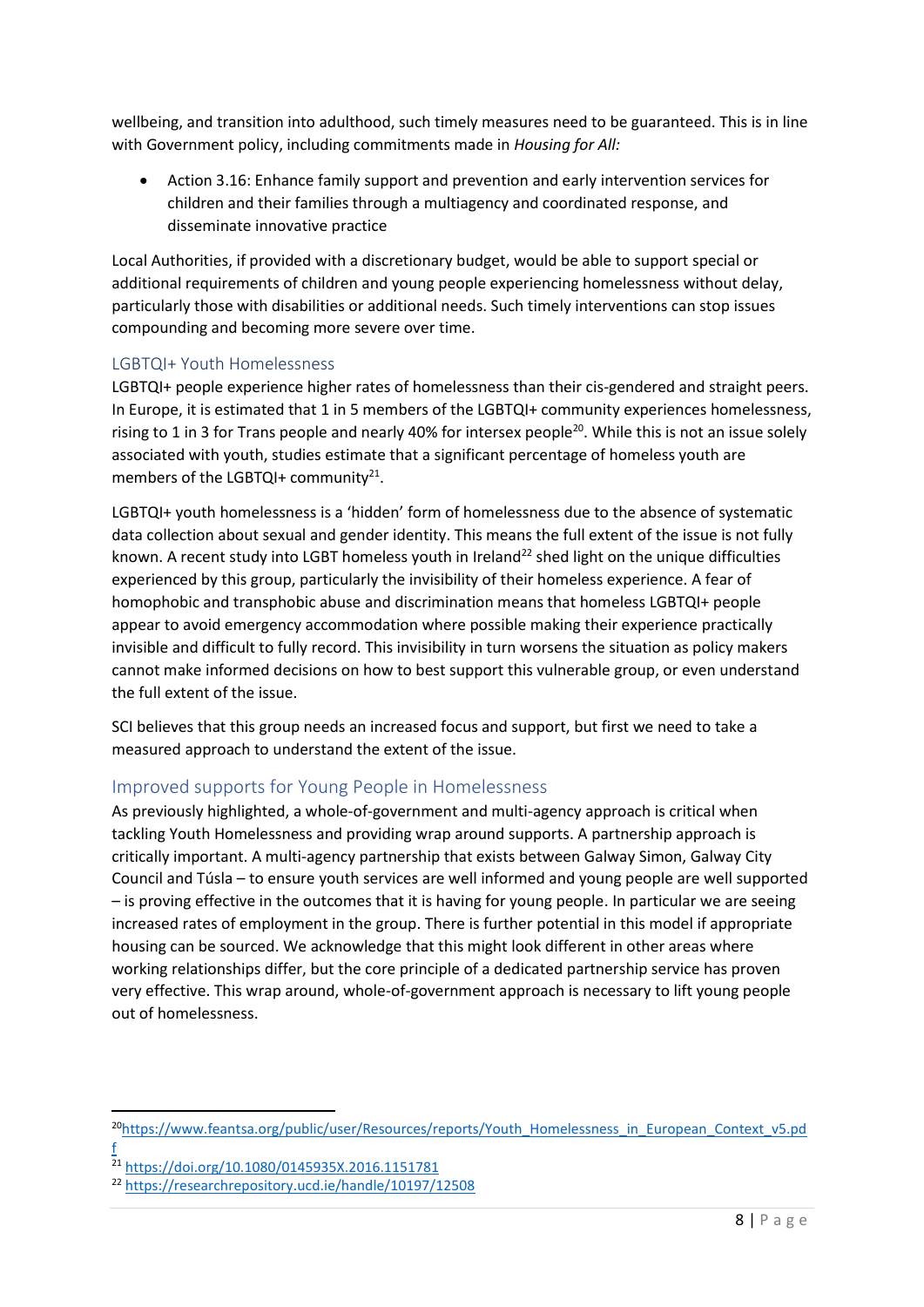wellbeing, and transition into adulthood, such timely measures need to be guaranteed. This is in line with Government policy, including commitments made in *Housing for All:* 

 Action 3.16: Enhance family support and prevention and early intervention services for children and their families through a multiagency and coordinated response, and disseminate innovative practice

Local Authorities, if provided with a discretionary budget, would be able to support special or additional requirements of children and young people experiencing homelessness without delay, particularly those with disabilities or additional needs. Such timely interventions can stop issues compounding and becoming more severe over time.

### <span id="page-7-0"></span>LGBTQI+ Youth Homelessness

LGBTQI+ people experience higher rates of homelessness than their cis-gendered and straight peers. In Europe, it is estimated that 1 in 5 members of the LGBTQI+ community experiences homelessness, rising to 1 in 3 for Trans people and nearly 40% for intersex people<sup>20</sup>. While this is not an issue solely associated with youth, studies estimate that a significant percentage of homeless youth are members of the LGBTQI+ community<sup>21</sup>.

LGBTQI+ youth homelessness is a 'hidden' form of homelessness due to the absence of systematic data collection about sexual and gender identity. This means the full extent of the issue is not fully known. A recent study into LGBT homeless youth in Ireland<sup>22</sup> shed light on the unique difficulties experienced by this group, particularly the invisibility of their homeless experience. A fear of homophobic and transphobic abuse and discrimination means that homeless LGBTQI+ people appear to avoid emergency accommodation where possible making their experience practically invisible and difficult to fully record. This invisibility in turn worsens the situation as policy makers cannot make informed decisions on how to best support this vulnerable group, or even understand the full extent of the issue.

SCI believes that this group needs an increased focus and support, but first we need to take a measured approach to understand the extent of the issue.

# <span id="page-7-1"></span>Improved supports for Young People in Homelessness

As previously highlighted, a whole-of-government and multi-agency approach is critical when tackling Youth Homelessness and providing wrap around supports. A partnership approach is critically important. A multi-agency partnership that exists between Galway Simon, Galway City Council and Túsla – to ensure youth services are well informed and young people are well supported – is proving effective in the outcomes that it is having for young people. In particular we are seeing increased rates of employment in the group. There is further potential in this model if appropriate housing can be sourced. We acknowledge that this might look different in other areas where working relationships differ, but the core principle of a dedicated partnership service has proven very effective. This wrap around, whole-of-government approach is necessary to lift young people out of homelessness.

**.** 

<sup>20</sup>[https://www.feantsa.org/public/user/Resources/reports/Youth\\_Homelessness\\_in\\_European\\_Context\\_v5.pd](https://www.feantsa.org/public/user/Resources/reports/Youth_Homelessness_in_European_Context_v5.pdf) [f](https://www.feantsa.org/public/user/Resources/reports/Youth_Homelessness_in_European_Context_v5.pdf)

<sup>21</sup> <https://doi.org/10.1080/0145935X.2016.1151781>

<sup>22</sup> <https://researchrepository.ucd.ie/handle/10197/12508>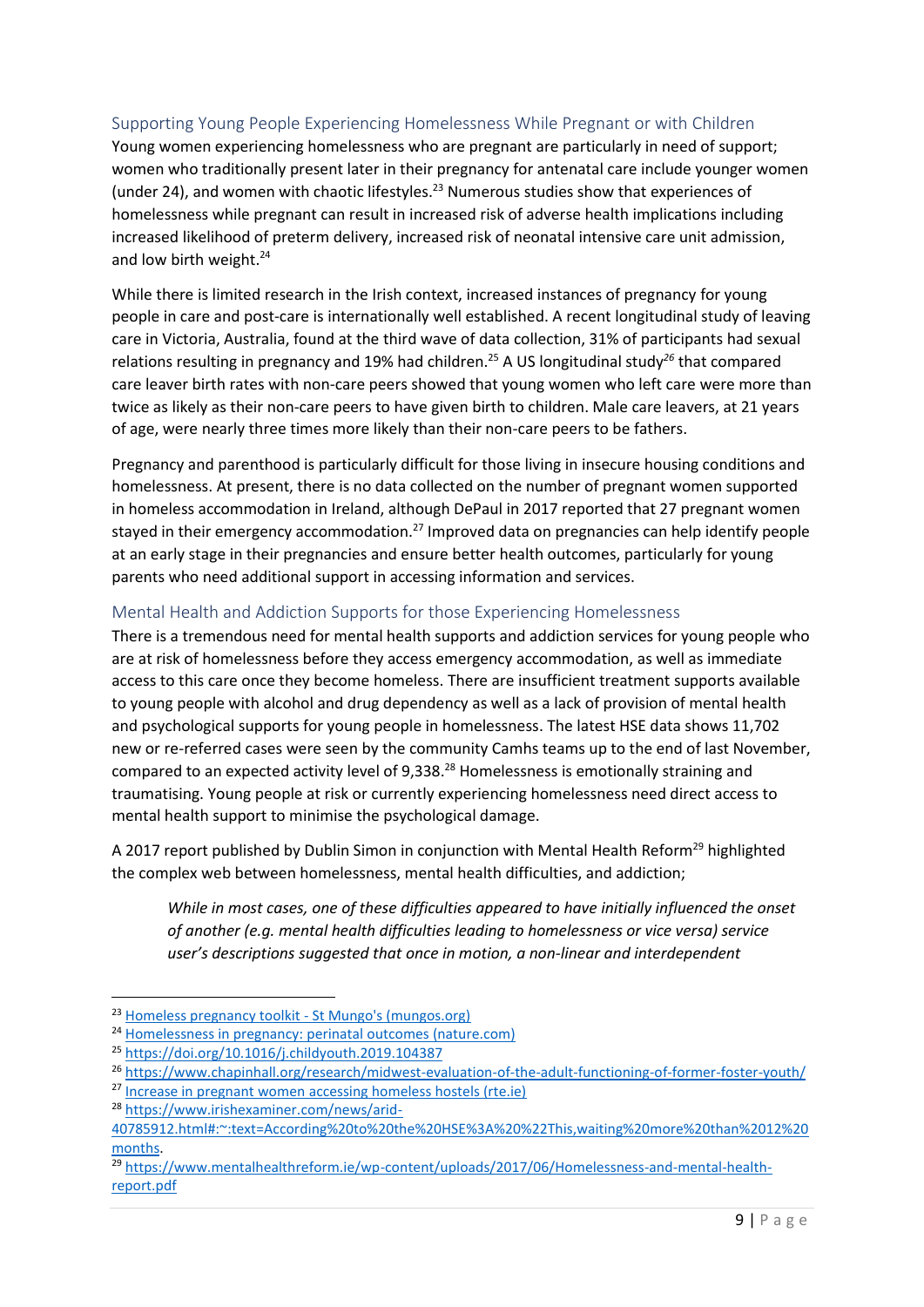### <span id="page-8-0"></span>Supporting Young People Experiencing Homelessness While Pregnant or with Children

Young women experiencing homelessness who are pregnant are particularly in need of support; women who traditionally present later in their pregnancy for antenatal care include younger women (under 24), and women with chaotic lifestyles. <sup>23</sup> Numerous studies show that experiences of homelessness while pregnant can result in increased risk of adverse health implications including increased likelihood of preterm delivery, increased risk of neonatal intensive care unit admission, and low birth weight.<sup>24</sup>

While there is limited research in the Irish context, increased instances of pregnancy for young people in care and post-care is internationally well established. A recent longitudinal study of leaving care in Victoria, Australia, found at the third wave of data collection, 31% of participants had sexual relations resulting in pregnancy and 19% had children. <sup>25</sup> A US longitudinal study*<sup>26</sup>* that compared care leaver birth rates with non-care peers showed that young women who left care were more than twice as likely as their non-care peers to have given birth to children. Male care leavers, at 21 years of age, were nearly three times more likely than their non-care peers to be fathers.

Pregnancy and parenthood is particularly difficult for those living in insecure housing conditions and homelessness. At present, there is no data collected on the number of pregnant women supported in homeless accommodation in Ireland, although DePaul in 2017 reported that 27 pregnant women stayed in their emergency accommodation.<sup>27</sup> Improved data on pregnancies can help identify people at an early stage in their pregnancies and ensure better health outcomes, particularly for young parents who need additional support in accessing information and services.

#### <span id="page-8-1"></span>Mental Health and Addiction Supports for those Experiencing Homelessness

There is a tremendous need for mental health supports and addiction services for young people who are at risk of homelessness before they access emergency accommodation, as well as immediate access to this care once they become homeless. There are insufficient treatment supports available to young people with alcohol and drug dependency as well as a lack of provision of mental health and psychological supports for young people in homelessness. The latest HSE data shows 11,702 new or re-referred cases were seen by the community Camhs teams up to the end of last November, compared to an expected activity level of 9,338.<sup>28</sup> Homelessness is emotionally straining and traumatising. Young people at risk or currently experiencing homelessness need direct access to mental health support to minimise the psychological damage.

A 2017 report published by Dublin Simon in conjunction with Mental Health Reform<sup>29</sup> highlighted the complex web between homelessness, mental health difficulties, and addiction;

*While in most cases, one of these difficulties appeared to have initially influenced the onset of another (e.g. mental health difficulties leading to homelessness or vice versa) service user's descriptions suggested that once in motion, a non-linear and interdependent* 

**.** 

<sup>23</sup> [Homeless pregnancy toolkit -](https://www.mungos.org/publication/homeless-pregnancy-toolkit/) St Mungo's (mungos.org)

<sup>&</sup>lt;sup>24</sup> [Homelessness in pregnancy: perinatal outcomes \(nature.com\)](https://www.nature.com/articles/s41372-021-01187-3.pdf)

<sup>25</sup> <https://doi.org/10.1016/j.childyouth.2019.104387>

<sup>26</sup> <https://www.chapinhall.org/research/midwest-evaluation-of-the-adult-functioning-of-former-foster-youth/>

<sup>27</sup> [Increase in pregnant women accessing homeless hostels \(rte.ie\)](https://www.rte.ie/news/ireland/2018/0308/945868-homeless/)

<sup>28</sup> [https://www.irishexaminer.com/news/arid-](https://www.irishexaminer.com/news/arid-40785912.html#:~:text=According%20to%20the%20HSE%3A%20%22This,waiting%20more%20than%2012%20months)

[<sup>40785912.</sup>html#:~:text=According%20to%20the%20HSE%3A%20%22This,waiting%20more%20than%2012%20](https://www.irishexaminer.com/news/arid-40785912.html#:~:text=According%20to%20the%20HSE%3A%20%22This,waiting%20more%20than%2012%20months) [months.](https://www.irishexaminer.com/news/arid-40785912.html#:~:text=According%20to%20the%20HSE%3A%20%22This,waiting%20more%20than%2012%20months)

<sup>&</sup>lt;sup>29</sup> [https://www.mentalhealthreform.ie/wp-content/uploads/2017/06/Homelessness-and-mental-health](https://www.mentalhealthreform.ie/wp-content/uploads/2017/06/Homelessness-and-mental-health-report.pdf)[report.pdf](https://www.mentalhealthreform.ie/wp-content/uploads/2017/06/Homelessness-and-mental-health-report.pdf)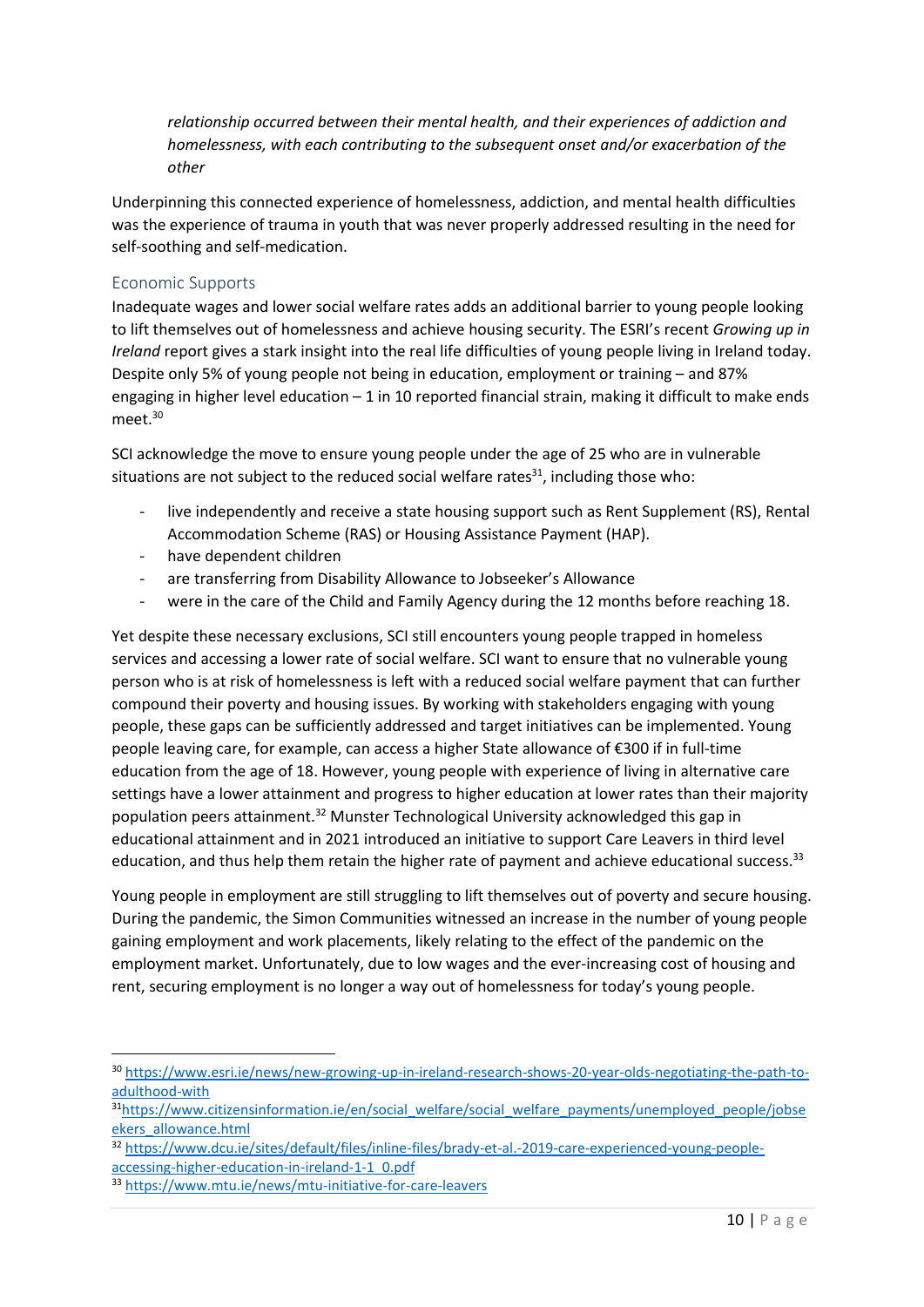*relationship occurred between their mental health, and their experiences of addiction and homelessness, with each contributing to the subsequent onset and/or exacerbation of the other*

Underpinning this connected experience of homelessness, addiction, and mental health difficulties was the experience of trauma in youth that was never properly addressed resulting in the need for self-soothing and self-medication.

#### <span id="page-9-0"></span>Economic Supports

Inadequate wages and lower social welfare rates adds an additional barrier to young people looking to lift themselves out of homelessness and achieve housing security. The ESRI's recent *Growing up in Ireland* report gives a stark insight into the real life difficulties of young people living in Ireland today. Despite only 5% of young people not being in education, employment or training – and 87% engaging in higher level education – 1 in 10 reported financial strain, making it difficult to make ends meet.<sup>30</sup>

SCI acknowledge the move to ensure young people under the age of 25 who are in vulnerable situations are not subject to the reduced social welfare rates $^{31}$ , including those who:

- live independently and receive a state housing support such as Rent Supplement (RS), Rental Accommodation Scheme (RAS) or Housing Assistance Payment (HAP).
- have dependent children
- are transferring from Disability Allowance to Jobseeker's Allowance
- were in the care of the Child and Family Agency during the 12 months before reaching 18.

Yet despite these necessary exclusions, SCI still encounters young people trapped in homeless services and accessing a lower rate of social welfare. SCI want to ensure that no vulnerable young person who is at risk of homelessness is left with a reduced social welfare payment that can further compound their poverty and housing issues. By working with stakeholders engaging with young people, these gaps can be sufficiently addressed and target initiatives can be implemented. Young people leaving care, for example, can access a higher State allowance of €300 if in full-time education from the age of 18. However, young people with experience of living in alternative care settings have a lower attainment and progress to higher education at lower rates than their majority population peers attainment.<sup>32</sup> Munster Technological University acknowledged this gap in educational attainment and in 2021 introduced an initiative to support Care Leavers in third level education, and thus help them retain the higher rate of payment and achieve educational success.<sup>33</sup>

Young people in employment are still struggling to lift themselves out of poverty and secure housing. During the pandemic, the Simon Communities witnessed an increase in the number of young people gaining employment and work placements, likely relating to the effect of the pandemic on the employment market. Unfortunately, due to low wages and the ever-increasing cost of housing and rent, securing employment is no longer a way out of homelessness for today's young people.

 $\overline{\phantom{a}}$ 

<sup>30</sup> [https://www.esri.ie/news/new-growing-up-in-ireland-research-shows-20-year-olds-negotiating-the-path-to](https://www.esri.ie/news/new-growing-up-in-ireland-research-shows-20-year-olds-negotiating-the-path-to-adulthood-with)[adulthood-with](https://www.esri.ie/news/new-growing-up-in-ireland-research-shows-20-year-olds-negotiating-the-path-to-adulthood-with)

<sup>&</sup>lt;sup>31</sup>[https://www.citizensinformation.ie/en/social\\_welfare/social\\_welfare\\_payments/unemployed\\_people/jobse](https://www.citizensinformation.ie/en/social_welfare/social_welfare_payments/unemployed_people/jobseekers_allowance.html) [ekers\\_allowance.html](https://www.citizensinformation.ie/en/social_welfare/social_welfare_payments/unemployed_people/jobseekers_allowance.html)

<sup>32</sup> [https://www.dcu.ie/sites/default/files/inline-files/brady-et-al.-2019-care-experienced-young-people](https://www.dcu.ie/sites/default/files/inline-files/brady-et-al.-2019-care-experienced-young-people-accessing-higher-education-in-ireland-1-1_0.pdf)[accessing-higher-education-in-ireland-1-1\\_0.pdf](https://www.dcu.ie/sites/default/files/inline-files/brady-et-al.-2019-care-experienced-young-people-accessing-higher-education-in-ireland-1-1_0.pdf)

<sup>33</sup> <https://www.mtu.ie/news/mtu-initiative-for-care-leavers>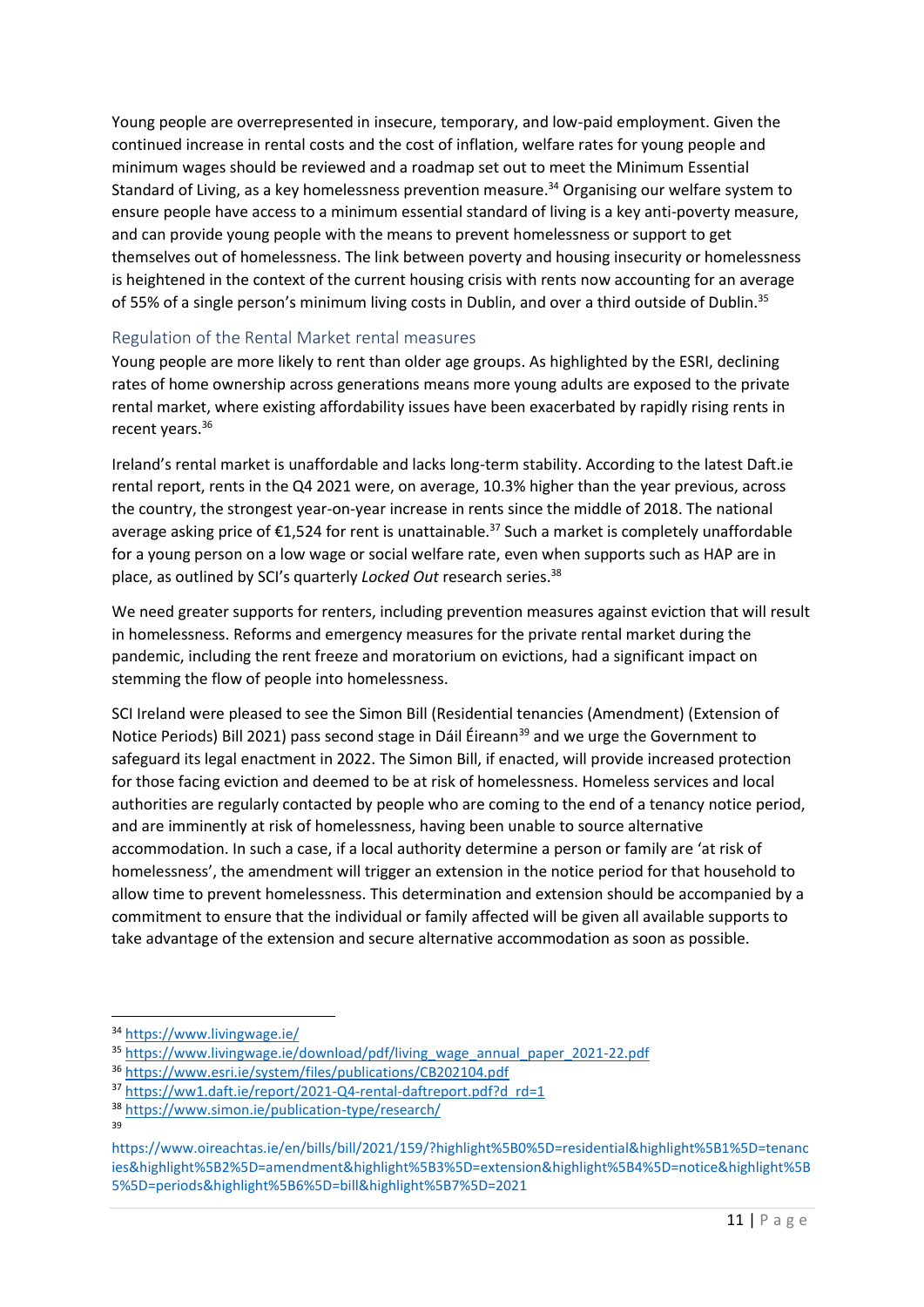Young people are overrepresented in insecure, temporary, and low-paid employment. Given the continued increase in rental costs and the cost of inflation, welfare rates for young people and minimum wages should be reviewed and a roadmap set out to meet the Minimum Essential Standard of Living, as a key homelessness prevention measure. <sup>34</sup> Organising our welfare system to ensure people have access to a minimum essential standard of living is a key anti-poverty measure, and can provide young people with the means to prevent homelessness or support to get themselves out of homelessness. The link between poverty and housing insecurity or homelessness is heightened in the context of the current housing crisis with rents now accounting for an average of 55% of a single person's minimum living costs in Dublin, and over a third outside of Dublin.<sup>35</sup>

### <span id="page-10-0"></span>Regulation of the Rental Market rental measures

Young people are more likely to rent than older age groups. As highlighted by the ESRI, declining rates of home ownership across generations means more young adults are exposed to the private rental market, where existing affordability issues have been exacerbated by rapidly rising rents in recent years.<sup>36</sup>

Ireland's rental market is unaffordable and lacks long-term stability. According to the latest Daft.ie rental report, rents in the Q4 2021 were, on average, 10.3% higher than the year previous, across the country, the strongest year-on-year increase in rents since the middle of 2018. The national average asking price of €1,524 for rent is unattainable.<sup>37</sup> Such a market is completely unaffordable for a young person on a low wage or social welfare rate, even when supports such as HAP are in place, as outlined by SCI's quarterly *Locked Out* research series.<sup>38</sup>

We need greater supports for renters, including prevention measures against eviction that will result in homelessness. Reforms and emergency measures for the private rental market during the pandemic, including the rent freeze and moratorium on evictions, had a significant impact on stemming the flow of people into homelessness.

SCI Ireland were pleased to see the Simon Bill (Residential tenancies (Amendment) (Extension of Notice Periods) Bill 2021) pass second stage in Dáil Éireann<sup>39</sup> and we urge the Government to safeguard its legal enactment in 2022. The Simon Bill, if enacted, will provide increased protection for those facing eviction and deemed to be at risk of homelessness. Homeless services and local authorities are regularly contacted by people who are coming to the end of a tenancy notice period, and are imminently at risk of homelessness, having been unable to source alternative accommodation. In such a case, if a local authority determine a person or family are 'at risk of homelessness', the amendment will trigger an extension in the notice period for that household to allow time to prevent homelessness. This determination and extension should be accompanied by a commitment to ensure that the individual or family affected will be given all available supports to take advantage of the extension and secure alternative accommodation as soon as possible.

1

<sup>34</sup> <https://www.livingwage.ie/>

<sup>&</sup>lt;sup>35</sup> [https://www.livingwage.ie/download/pdf/living\\_wage\\_annual\\_paper\\_2021-22.pdf](https://www.livingwage.ie/download/pdf/living_wage_annual_paper_2021-22.pdf)

<sup>36</sup> <https://www.esri.ie/system/files/publications/CB202104.pdf>

<sup>37</sup> [https://ww1.daft.ie/report/2021-Q4-rental-daftreport.pdf?d\\_rd=1](https://ww1.daft.ie/report/2021-Q4-rental-daftreport.pdf?d_rd=1)

<sup>38</sup> <https://www.simon.ie/publication-type/research/> 39

https://www.oireachtas.ie/en/bills/bill/2021/159/?highlight%5B0%5D=residential&highlight%5B1%5D=tenanc ies&highlight%5B2%5D=amendment&highlight%5B3%5D=extension&highlight%5B4%5D=notice&highlight%5B 5%5D=periods&highlight%5B6%5D=bill&highlight%5B7%5D=2021